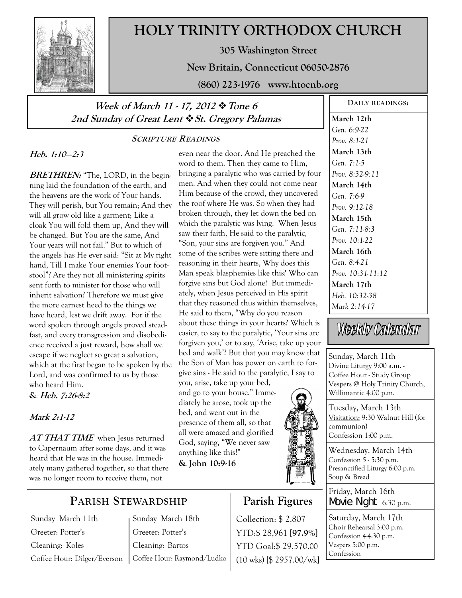

# **HOLY TRINITY ORTHODOX CHURCH**

**305 Washington Street** 

**New Britain, Connecticut 06050-2876** 

**(860) 223-1976 www.htocnb.org** 

## **Week of March 11 - 17, 2012 Tone 6 2nd Sunday of Great Lent St. Gregory Palamas**

### **SCRIPTURE READINGS**

### **Heb. 1:10—2:3**

**BRETHREN:** "The, LORD, in the beginning laid the foundation of the earth, and the heavens are the work of Your hands. They will perish, but You remain; And they will all grow old like a garment; Like a cloak You will fold them up, And they will be changed. But You are the same, And Your years will not fail." But to which of the angels has He ever said: "Sit at My right hand, Till I make Your enemies Your footstool"? Are they not all ministering spirits sent forth to minister for those who will inherit salvation? Therefore we must give the more earnest heed to the things we have heard, lest we drift away. For if the word spoken through angels proved steadfast, and every transgression and disobedience received a just reward, how shall we escape if we neglect so great a salvation, which at the first began to be spoken by the Lord, and was confirmed to us by those who heard Him. **& Heb. 7:26-8:2** 

### **Mark 2:1-12**

**AT THAT TIME** when Jesus returned to Capernaum after some days, and it was heard that He was in the house. Immediately many gathered together, so that there was no longer room to receive them, not

even near the door. And He preached the word to them. Then they came to Him, bringing a paralytic who was carried by four men. And when they could not come near Him because of the crowd, they uncovered the roof where He was. So when they had broken through, they let down the bed on which the paralytic was lying. When Jesus saw their faith, He said to the paralytic, "Son, your sins are forgiven you." And some of the scribes were sitting there and reasoning in their hearts, Why does this Man speak blasphemies like this? Who can forgive sins but God alone? But immediately, when Jesus perceived in His spirit that they reasoned thus within themselves, He said to them, "Why do you reason about these things in your hearts? Which is easier, to say to the paralytic, 'Your sins are forgiven you,' or to say, 'Arise, take up your bed and walk'? But that you may know that the Son of Man has power on earth to forgive sins - He said to the paralytic, I say to you, arise, take up your bed, and go to your house." Immediately he arose, took up the

bed, and went out in the presence of them all, so that all were amazed and glorified God, saying, "We never saw anything like this!" **& John 10:9-16**



**Parish Figures** 

Collection: \$ 2,807 YTD:\$ 28,961 **[97.9%]** YTD Goal:\$ 29,570.00 (10 wks) [\$ 2957.00/wk]

**March 12th**  *Gen. 6:9-22 Prov. 8:1-21*  **March 13th**  *Gen. 7:1-5 Prov. 8:32-9:11*  **March 14th**  *Gen. 7:6-9 Prov. 9:12-18*  **March 15th**  *Gen. 7:11-8:3 Prov. 10:1-22*  **March 16th**  *Gen. 8:4-21 Prov. 10:31-11:12*  **March 17th**  *Heb. 10:32-38 Mark 2:14-17* 

Weekly Calendar

Sunday, March 11th Divine Liturgy 9:00 a.m. - Coffee Hour - Study Group Vespers @ Holy Trinity Church, Willimantic 4:00 p.m.

Tuesday, March 13th Visitation: 9:30 Walnut Hill (for communion) Confession 1:00 p.m.

Wednesday, March 14th Confession 5 - 5:30 p.m. Presanctified Liturgy 6:00 p.m. Soup & Bread

Friday, March 16th Movie Night 6:30 p.m.

Saturday, March 17th Choir Rehearsal 3:00 p.m. Confession 4-4:30 p.m. Vespers 5:00 p.m. Confession

# **PARISH STEWARDSHIP**

Sunday March 11th Greeter: Potter's Cleaning: Koles Coffee Hour: Dilger/Everson Sunday March 18th Greeter: Potter's Cleaning: Bartos Coffee Hour: Raymond/Ludko

**DAILY READINGS:**